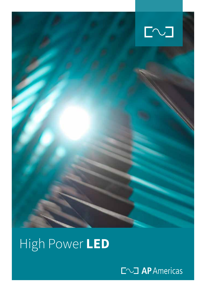

## High Power **LED**

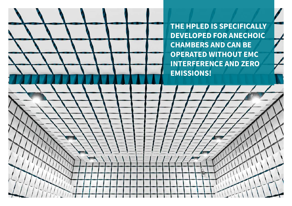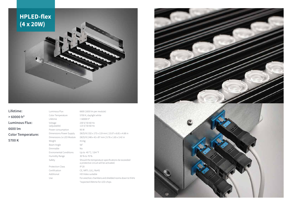**Lifetime: > 60000 h\* Luminous Flux: 6600 lm Color Temperature: 5700 K**

Luminous Flux 6600 (1650 lm per module) Color Temperature 5700 K, daylight white Lifetime  $>60000$  h<sup>\*</sup> Voltage (adjustable) Power consumption 95 W Weight 4.6 kg Beam Angle 56° Dimmable No Enviromental Conditions Up to 40 °C / 104 °F Humidity Range 30 % to 70 % Protection Class IP 20 Certification CE, NRTL (UL), RoHS Additional HD Video suitable

230 V/ 50-60 Hz 115 V/ 50-60 Hz Dimensions Power Supply (W/D/H) 332 x 173 x 119 mm | 13.07 x 6.81 x 4.68 in Dimensions 1x LED Module (W/D/H) 248 x 42 x 87 mm | 9.76 x 1.65 x 3.42 in Safety Should the temperature specifications be exceeded a protective circuit will be activated. Use For anechoic chambers and shielded rooms down to 9 kHz \*expected lifetime for LED-chips



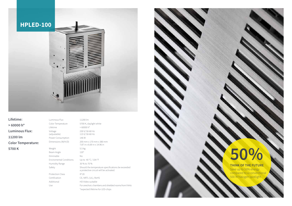**Lifetime: > 60000 h\* Luminous Flux: 11200 lm Color Temperature: 5700 K**

Luminous Flux 11200 lm Lifetime  $>60000$  h<sup>\*</sup> Voltage (adjustable) Power Consumption 146 W Weight 5.5 kg Beam Angle 120° Dimmable No Humidity Range 30 % to 70 % Protection Class IP 20

Color Temperature 5700 K, daylight white 230 V/ 50-60 Hz 115 V/ 50-60 Hz Dimensions (W/H/D) 200 mm x 170 mm x 380 mm 7.87 in x 6.69 in x 14.96 in Enviromental Conditions Up to 40 °C / 104 °F Safety Should the temperature specifications be exceeded a protective circuit will be activated. Certification CE, NRTL (UL), RoHS Additional HD Video suitable Use For anechoic chambers and shielded rooms from 9 kHz \*expected lifetime for LED-chips



## **50%**

## **THINK OF THE FUTURE**

Save up to 50% energy compared to a conventional 500 W halogen spotlight.

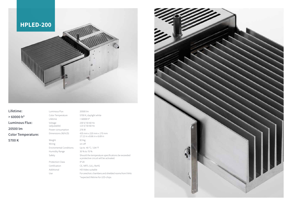**Lifetime: > 60000 h\* Luminous Flux: 20500 lm Color Temperature: 5700 K**

Luminous Flux 20500 lm Lifetime  $>60000$  h<sup>\*</sup> Voltage (adjustable) Power consumption 276 W Weight 8.9 kg Wiring on-off Humidity Range 30 % to 70 % Protection Class IP 20 Additional HD Video suitable

Color Temperature 5700 K, daylight white 230 V/ 50-60 Hz 115 V/ 50-60 Hz Dimensions (W/H/D) 435 mm x 220 mm x 170 mm 17.12 in x 8.66 in x 6.69 in Enviromental Conditions Up to 40 °C / 104 °F Safety Should the temperature specifications be exceeded a protective circuit will be activated. Certification CE, NRTL (UL), RoHS Use For anechoic chambers and shielded rooms from 9 kHz \*expected lifetime for LED-chips



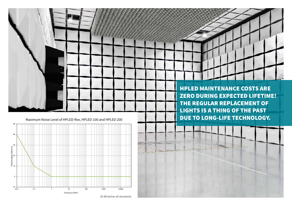

20 dB below all standards